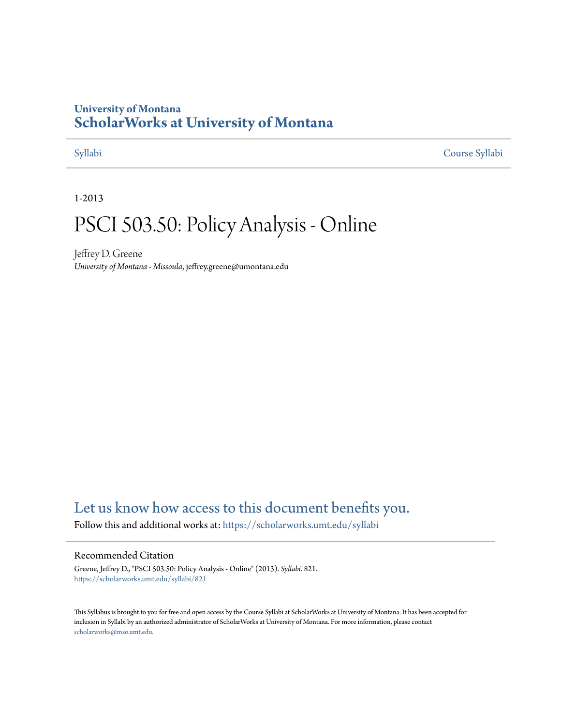# **University of Montana [ScholarWorks at University of Montana](https://scholarworks.umt.edu?utm_source=scholarworks.umt.edu%2Fsyllabi%2F821&utm_medium=PDF&utm_campaign=PDFCoverPages)**

[Syllabi](https://scholarworks.umt.edu/syllabi?utm_source=scholarworks.umt.edu%2Fsyllabi%2F821&utm_medium=PDF&utm_campaign=PDFCoverPages) [Course Syllabi](https://scholarworks.umt.edu/course_syllabi?utm_source=scholarworks.umt.edu%2Fsyllabi%2F821&utm_medium=PDF&utm_campaign=PDFCoverPages)

1-2013

# PSCI 503.50: Policy Analysis - Online

Jeffrey D. Greene *University of Montana - Missoula*, jeffrey.greene@umontana.edu

# [Let us know how access to this document benefits you.](https://goo.gl/forms/s2rGfXOLzz71qgsB2)

Follow this and additional works at: [https://scholarworks.umt.edu/syllabi](https://scholarworks.umt.edu/syllabi?utm_source=scholarworks.umt.edu%2Fsyllabi%2F821&utm_medium=PDF&utm_campaign=PDFCoverPages)

#### Recommended Citation

Greene, Jeffrey D., "PSCI 503.50: Policy Analysis - Online" (2013). *Syllabi*. 821. [https://scholarworks.umt.edu/syllabi/821](https://scholarworks.umt.edu/syllabi/821?utm_source=scholarworks.umt.edu%2Fsyllabi%2F821&utm_medium=PDF&utm_campaign=PDFCoverPages)

This Syllabus is brought to you for free and open access by the Course Syllabi at ScholarWorks at University of Montana. It has been accepted for inclusion in Syllabi by an authorized administrator of ScholarWorks at University of Montana. For more information, please contact [scholarworks@mso.umt.edu](mailto:scholarworks@mso.umt.edu).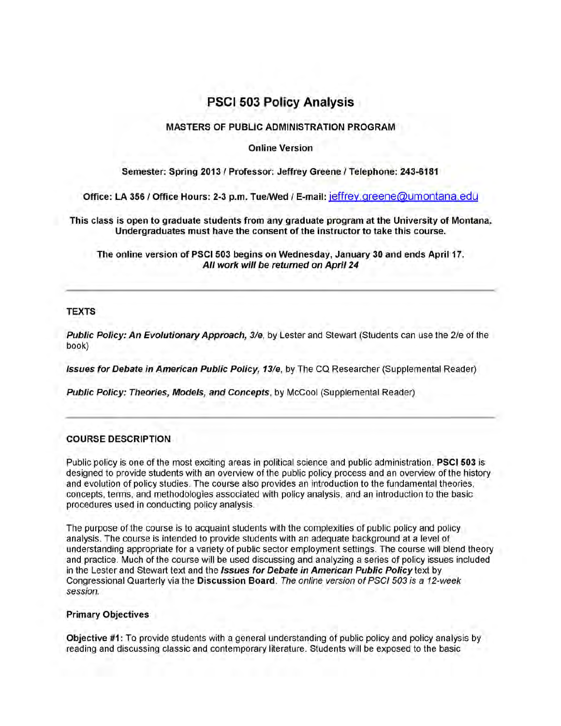# **PSCI 503 Policy Analysis**

#### **MASTERS OF PUBLIC ADMINISTRATION PROGRAM**

#### **Online Version**

### **Semester: Spring 2013 / Professor: Jeffrey Greene / Telephone: 243-6181**

**Office: LA 356 / Office Hours: 2-3 p.m. Tue/Wed / E-mail: ieffrev.greene@umontana.edu**

**This class is open to graduate students from any graduate program at the University of Montana. Undergraduates must have the consent of the instructor to take this course.**

**The online version of PSCI 503 begins on Wednesday, January 30 and ends April 17.** *All work will be returned on April 24*

#### **TEXTS**

*Public Policy: An Evolutionary Approach, 3/e*, by Lester and Stewart (Students can use the 2/e of the book)

*Issues for Debate in American Public Policy, 13/e*, by The CQ Researcher (Supplemental Reader)

*Public Policy: Theories, Models, and Concepts*, by McCool (Supplemental Reader)

#### **COURSE DESCRIPTION**

Public policy is one of the most exciting areas in political science and public administration. **PSCI 503** is designed to provide students with an overview of the public policy process and an overview of the history and evolution of policy studies. The course also provides an introduction to the fundamental theories, concepts, terms, and methodologies associated with policy analysis, and an introduction to the basic procedures used in conducting policy analysis.

The purpose of the course is to acquaint students with the complexities of public policy and policy analysis. The course is intended to provide students with an adequate background at a level of understanding appropriate for a variety of public sector employment settings. The course will blend theory and practice. Much of the course will be used discussing and analyzing a series of policy issues included in the Lester and Stewart text and the *Issues for Debate in American Public Policy text* by Congressional Quarterly via the **Discussion Board.** *The online version of PSCI 503 is a 12-week session.*

#### **Primary Objectives**

**Objective #1:** To provide students with a general understanding of public policy and policy analysis by reading and discussing classic and contemporary literature. Students will be exposed to the basic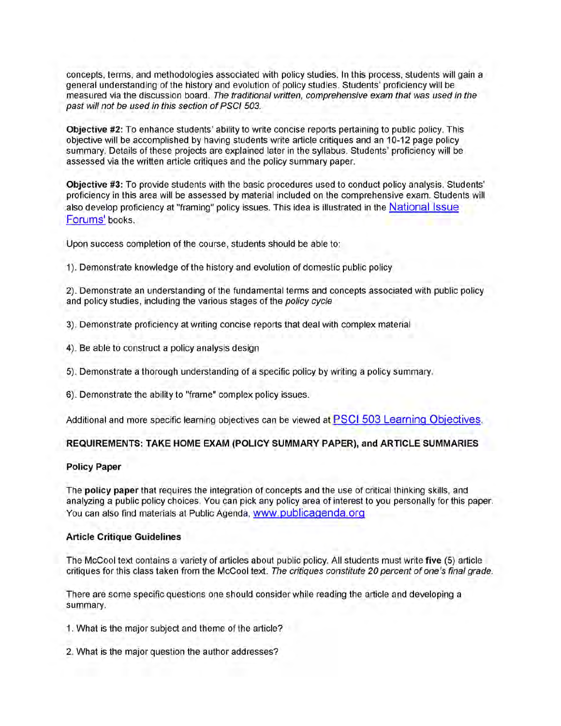concepts, terms, and methodologies associated with policy studies. In this process, students will gain a general understanding of the history and evolution of policy studies. Students' proficiency will be measured via the discussion board. *The traditional written, comprehensive exam that was used in the past will not be used in this section of PSCI 503.*

**Objective #2:** To enhance students' ability to write concise reports pertaining to public policy. This objective will be accomplished by having students write article critiques and an 10-12 page policy summary. Details of these projects are explained later in the syllabus. Students' proficiency will be assessed via the written article critiques and the policy summary paper.

**Objective #3:** To provide students with the basic procedures used to conduct policy analysis. Students' proficiency in this area will be assessed by material included on the comprehensive exam. Students will also develop proficiency at "framing" policy issues. This idea is illustrated in the National Issue Forums' books.

Upon success completion of the course, students should be able to:

1). Demonstrate knowledge of the history and evolution of domestic public policy

2). Demonstrate an understanding of the fundamental terms and concepts associated with public policy and policy studies, including the various stages of the *policy cycle*

- 3). Demonstrate proficiency at writing concise reports that deal with complex material
- 4). Be able to construct a policy analysis design
- **5).** Demonstrate a thorough understanding of a specific policy by writing a policy summary.
- 6). Demonstrate the ability to "frame" complex policy issues.

Additional and more specific learning objectives can be viewed at PSCI 503 Learning Objectives.

#### **REQUIREMENTS: TAKE HOME EXAM (POLICY SUMMARY PAPER), and ARTICLE SUMMARIES**

#### **Policy Paper**

The **policy paper** that requires the integration of concepts and the use of critical thinking skills, and analyzing a public policy choices. You can pick any policy area of interest to you personally for this paper. You can also find materials at Public Agenda, www.publicagenda.org

#### **Article Critique Guidelines**

The McCool text contains a variety of articles about public policy. All students must write **five (5)** article critiques for this class taken from the McCool text. *The critiques constitute 20 percent of one's final grade.*

There are some specific questions one should consider while reading the article and developing a summary.

- 1. What is the major subject and theme of the article?
- 2. What is the major question the author addresses?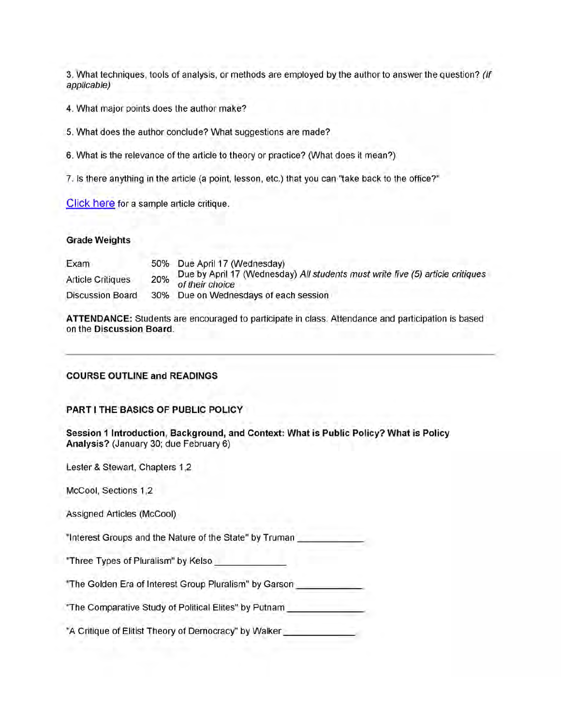3. What techniques, tools of analysis, or methods are employed by the author to answer the question? *(If applicable)*

*4.* What major points does the author make?

5. What does the author conclude? What suggestions are made?

6. What is the relevance of the article to theory or practice? (What does it mean?)

7. Is there anything in the article (a point, lesson, etc.) that you can "take back to the office?"

Click here for a sample article critique.

#### **Grade Weights**

| Exam                     | 50% Due April 17 (Wednesday)                                                                          |
|--------------------------|-------------------------------------------------------------------------------------------------------|
| <b>Article Critiques</b> | Due by April 17 (Wednesday) All students must write five (5) article critiques<br>20% of their choice |
| <b>Discussion Board</b>  | 30% Due on Wednesdays of each session                                                                 |

**ATTENDANCE:** Students are encouraged to participate in class. Attendance and participation is based on the **Discussion Board.**

#### **COURSE OUTLINE and READINGS**

#### **PART I THE BASICS OF PUBLIC POLICY**

**Session 1 Introduction, Background, and Context: What is Public Policy? What is Policy Analysis?** (January 30; due February 6)

Lester & Stewart, Chapters 1,2

McCool, Sections 1,2

Assigned Articles (McCool)

"Interest Groups and the Nature of the State" by Truman

"Three Types of Pluralism" by Kelso\_\_\_\_\_\_\_\_\_\_\_\_\_\_\_

"The Golden Era of Interest Group Pluralism" by Garson

"The Comparative Study of Political Elites" by Putnam \_\_\_\_\_\_\_\_\_\_\_\_\_\_\_\_

"A Critique of Elitist Theory of Democracy" by Walker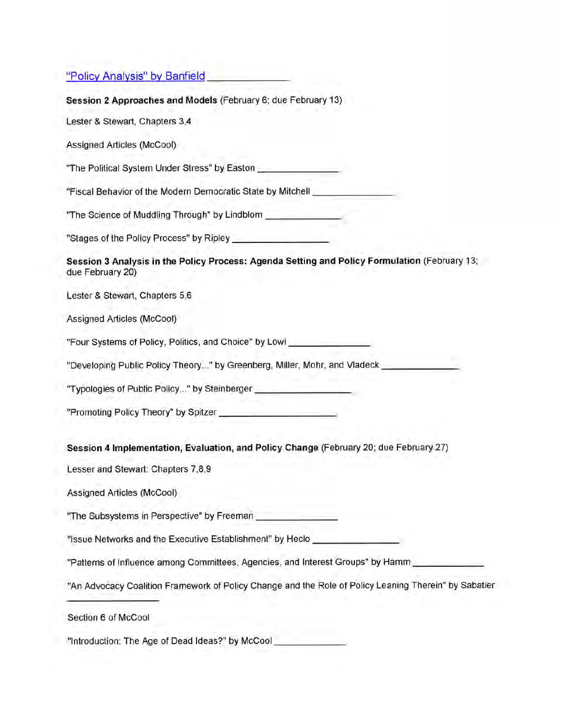|  |  |  |  | "Policy Analysis" by Banfield |  |
|--|--|--|--|-------------------------------|--|
|--|--|--|--|-------------------------------|--|

**Session 2 Approaches and Models** (February 6; due February 13)

Lester & Stewart, Chapters 3,4

Assigned Articles (McCool)

"The Political System Under Stress" by Easton\_\_\_\_\_\_\_\_\_\_\_\_\_\_\_\_\_

"Fiscal Behavior of the Modern Democratic State by Mitchell

"The Science of Muddling Through" by Lindblom \_\_\_\_\_\_\_\_\_\_\_\_\_\_\_\_

"Stages of the Policy Process" by Ripley\_\_\_\_\_\_\_\_\_\_\_\_\_\_\_\_\_\_\_\_\_

**Session 3 Analysis in the Policy Process: Agenda Setting and Policy Formulation** (February **13;** due February 20)

Lester & Stewart, Chapters 5,6

Assigned Articles (McCool)

"Four Systems of Policy, Politics, and Choice" by Lowi

"Developing Public Policy Theory..." by Greenberg, Miller, Mohr, and Vladeck\_\_\_\_\_\_\_\_\_\_\_\_\_\_\_\_

"Typologies of Public Policy..." by Steinberger\_\_\_\_\_\_\_\_\_\_\_\_\_\_\_\_\_\_\_\_\_

"Promoting Policy Theory" by Spitzer\_\_\_\_\_\_\_\_\_\_\_\_\_\_\_\_\_\_\_\_\_\_\_\_\_

**Session 4 Implementation, Evaluation, and Policy Change** (February **20;** due February **27)**

Lesser and Stewart: Chapters 7,8,9

Assigned Articles (McCool)

"The Subsystems in Perspective" by Freeman\_\_\_\_\_\_\_\_\_\_\_\_\_\_\_\_\_

"Issue Networks and the Executive Establishment" by Heclo\_\_\_\_\_\_\_\_\_\_\_\_\_\_\_\_\_\_

"Patterns of Influence among Committees, Agencies, and Interest Groups" by Hamm \_\_\_\_\_\_\_\_\_\_\_\_\_

"An Advocacy Coalition Framework of Policy Change and the Role of Policy Leaning Therein" by Sabatier

Section 6 of McCool

"Introduction: The Age of Dead Ideas?" by McCool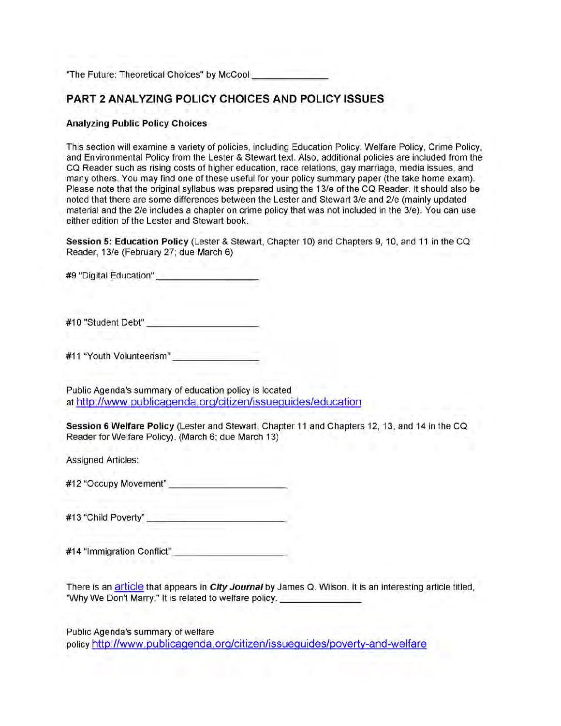"The Future: Theoretical Choices" by McCool

## **PART 2 ANALYZING POLICY CHOICES AND POLICY ISSUES**

#### **Analyzing Public Policy Choices**

This section will examine a variety of policies, including Education Policy, Welfare Policy, Crime Policy, and Environmental Policy from the Lester & Stewart text. Also, additional policies are included from the CQ Reader such as rising costs of higher education, race relations, gay marriage, media issues, and many others. You may find one of these useful for your policy summary paper (the take home exam). Please note that the original syllabus was prepared using the 13/e of the CQ Reader. It should also be noted that there are some differences between the Lester and Stewart 3/e and 2/e (mainly updated material and the 2/e includes a chapter on crime policy that was not included in the 3/e). You can use either edition of the Lester and Stewart book.

**Session 5: Education Policy** (Lester & Stewart, Chapter 10) and Chapters **9,** 10, and 11 in the CQ Reader, 13/e (February 27; due March 6)

**#9** "Digital Education"\_\_\_\_\_\_\_\_\_\_\_\_\_\_\_\_\_\_\_\_\_\_

#10 "Student Debt"

#11 "Youth Volunteerism"

Public Agenda's summary of education policy is located at http://www.publicagenda.org/citizen/issueguides/education

**Session 6 Welfare Policy** (Lester and Stewart, Chapter **11** and Chapters **12, 13,** and **14** in the CQ Reader for Welfare Policy). (March 6; due March 13)

Assigned Articles:

#12 "Occupy Movement" \_\_\_\_\_\_\_\_\_\_\_\_\_\_\_\_\_\_\_\_\_\_\_\_\_

#13 "Child Poverty"

#14 "Immigration Conflict"

There is an article that appears in *City Journal* by James Q. Wilson. It is an interesting article titled, "Why We Don't Marry." It is related to welfare policy.

Public Agenda's summary of welfare policy http://www.publicaqenda.orq/citizen/issuequides/povertv-and-welfare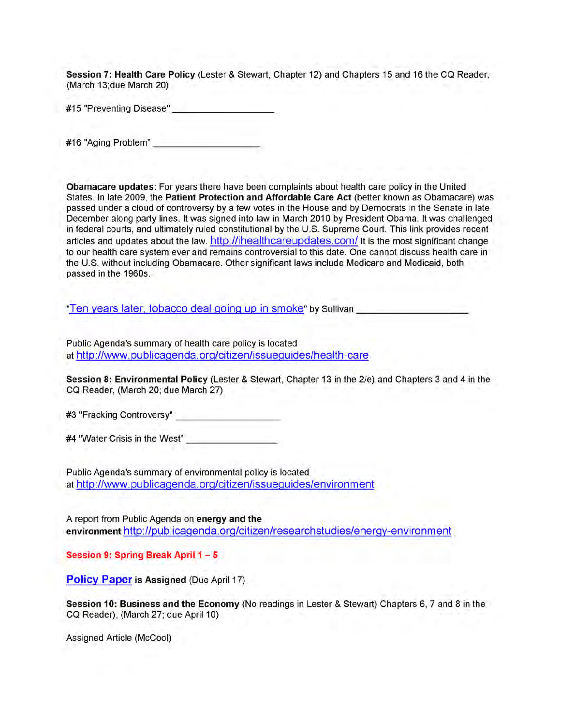**Session 7: Health Care Policy** (Lester & Stewart, Chapter 12) and Chapters 15 and 16 the CQ Reader, (March 13;due March 20)

#15 "Preventing Disease"\_\_\_\_\_\_\_\_\_\_\_\_\_\_\_\_\_\_\_\_\_\_

#16 "Aging Problem"

**Obamacare updates:** For years there have been complaints about health care policy in the United States. In late 2009, the **Patient Protection and Affordable Care Act** (better known as Obamacare) was passed under a cloud of controversy by a few votes in the House and by Democrats in the Senate in late December along party lines. It was signed into law in March 2010 by President Obama. It was challenged in federal courts, and ultimately ruled constitutional by the U.S. Supreme Court. This link provides recent articles and updates about the law. http://ihealthcareupdates.com/ It is the most significant change to our health care system ever and remains controversial to this date. One cannot discuss health care in the U.S. without including Obamacare. Other significant laws include Medicare and Medicaid, both passed in the 1960s.

"Ten years later, tobacco deal going up in smoke" by Sullivan

Public Agenda's summary of health care policy is located at http://www.publicaqenda.org/citizen/issuequides/health-care

**Session 8: Environmental Policy** (Lester & Stewart, Chapter 13 in the 2/e) and Chapters 3 and **4** in the CQ Reader, (March 20; due March 27)

#3 "Fracking Controversy"\_\_\_\_\_\_\_\_\_\_\_\_\_\_\_\_\_\_\_\_\_\_

**#4** "Water Crisis in the West" \_\_\_\_\_\_\_\_\_\_\_\_\_\_\_\_\_\_\_\_

Public Agenda's summary of environmental policy is located at http://www.publicaqenda.org/citizen/issuequides/environment

A report from Public Agenda on **energy and the environment** http://publicaqenda.org/citizen/researchstudies/enerqv-environment

**Session 9: Spring Break April 1 - 5**

**Policy Paper is Assigned (Due April 17)** 

**Session 10: Business and the Economy** (No readings in Lester & Stewart) Chapters 6, 7 and 8 in the CQ Reader), (March 27; due April 10)

Assigned Article (McCool)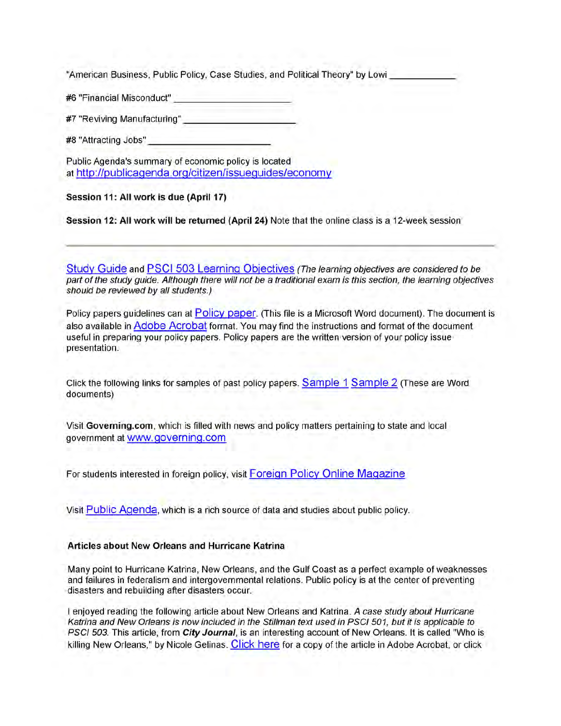"American Business, Public Policy, Case Studies, and Political Theory" by Lowi

#6 "Financial Misconduct"\_\_\_\_\_\_\_\_\_\_\_\_\_\_\_\_\_\_\_\_\_\_\_\_\_

#7 "Reviving Manufacturing"\_\_\_\_\_\_\_\_\_\_\_\_\_\_\_\_\_\_\_\_\_\_\_\_

#8 "Attracting Jobs"

Public Agenda's summary of economic policy is located at http://publicagenda.org/citizen/issueguides/economv

**Session 11: All work is due (April 17)**

**Session 12: All work will be returned (April 24)** Note that the online class is a 12-week session

Study Guide and PSCI 503 Learning Objectives *(The learning objectives are considered to be part of the study guide. Although there will not be a traditional exam is this section, the learning objectives should be reviewed by all students.)*

Policy papers guidelines can at Policy paper. (This file is a Microsoft Word document). The document is also available in Adobe Acrobat format. You may find the instructions and format of the document useful in preparing your policy papers. Policy papers are the written version of your policy issue presentation.

Click the following links for samples of past policy papers. Sample 1 Sample 2 (These are Word documents)

Visit **Governing.com,** which is filled with news and policy matters pertaining to state and local government at www.qoverninq.com

For students interested in foreign policy, visit Foreign Policy Online Magazine

Visit Public Agenda, which is a rich source of data and studies about public policy.

#### **Articles about New Orleans and Hurricane Katrina**

Many point to Hurricane Katrina, New Orleans, and the Gulf Coast as a perfect example of weaknesses and failures in federalism and intergovernmental relations. Public policy is at the center of preventing disasters and rebuilding after disasters occur.

I enjoyed reading the following article about New Orleans and Katrina. *A case study about Hurricane Katrina and New Orleans is now included in the Stillman text used in PSCI 501, but it is applicable to PSCI 503.* This article, from *City Journal,* is an interesting account of New Orleans. It is called "Who is killing New Orleans," by Nicole Gelinas. Click here for a copy of the article in Adobe Acrobat, or click